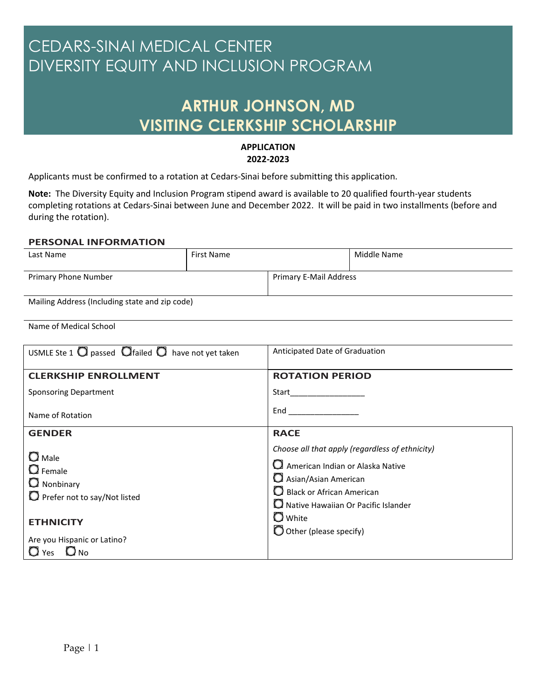## CEDARS-SINAI MEDICAL CENTER DIVERSITY EQUITY AND INCLUSION PROGRAM

## **ARTHUR JOHNSON, MD VISITING CLERKSHIP SCHOLARSHIP**

## **APPLICATION 2022-2023**

Applicants must be confirmed to a rotation at Cedars-Sinai before submitting this application.

**Note:** The Diversity Equity and Inclusion Program stipend award is available to 20 qualified fourth-year students completing rotations at Cedars-Sinai between June and December 2022. It will be paid in two installments (before and during the rotation).

## **PERSONAL INFORMATION**

| Last Name                                      | First Name |                        | Middle Name |
|------------------------------------------------|------------|------------------------|-------------|
|                                                |            |                        |             |
| Primary Phone Number                           |            | Primary E-Mail Address |             |
| Mailing Address (Including state and zip code) |            |                        |             |

Name of Medical School

| USMLE Ste 1 $\bigcirc$ passed $\bigcirc$ failed $\bigcirc$ have not yet taken                   | Anticipated Date of Graduation                                                                                                                                                                    |
|-------------------------------------------------------------------------------------------------|---------------------------------------------------------------------------------------------------------------------------------------------------------------------------------------------------|
| <b>CLERKSHIP ENROLLMENT</b>                                                                     | <b>ROTATION PERIOD</b>                                                                                                                                                                            |
| <b>Sponsoring Department</b>                                                                    | Start in the start of the start of the start of the start of the start of the start of the start of the start o                                                                                   |
| Name of Rotation                                                                                | End                                                                                                                                                                                               |
| <b>GENDER</b>                                                                                   | <b>RACE</b>                                                                                                                                                                                       |
| $\Box$ Male<br>$\mathbf{\mathsf{O}}$ Female<br>Nonbinary<br>$\Box$ Prefer not to say/Not listed | Choose all that apply (regardless of ethnicity)<br>American Indian or Alaska Native<br>Asian/Asian American<br>$\Omega$ Black or African American<br>$\Omega$ Native Hawaiian Or Pacific Islander |
| <b>ETHNICITY</b><br>Are you Hispanic or Latino?<br>$Q_{\text{No}}$<br>$\Box$ Yes                | $\Box$ White<br>$\bigcirc$ Other (please specify)                                                                                                                                                 |